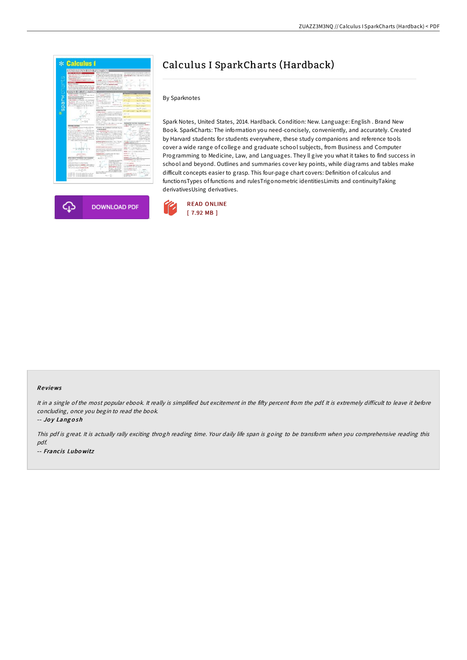| <b>BACKGROUND AND FUNCTIONS</b>                                                                                          |                                                                                                                                                                                      |                                                                                                         |
|--------------------------------------------------------------------------------------------------------------------------|--------------------------------------------------------------------------------------------------------------------------------------------------------------------------------------|---------------------------------------------------------------------------------------------------------|
| <b>TOTAL ET VANGOUSE LES</b>                                                                                             |                                                                                                                                                                                      | resource servicely conto device neigh ort.                                                              |
| <b>CASA LINE AVAILT THE CASARD PARK BASICAL</b>                                                                          | a 4-days to be trained about the late of the contract at open.                                                                                                                       | ally a paintenance excellent high-business<br>perfect the best for more interfacilities from any series |
| . Chank think outside a city between<br><b><i><u>Address Folk on the</u></i></b>                                         | of a state's sell notice and up lots to scheduled at the<br>broke of action to its nation of a broker. They are:                                                                     | $\sim$                                                                                                  |
| Firmani retroke is den aras as basil ki arisan                                                                           | act he constructed constitue that there is a bandon.                                                                                                                                 |                                                                                                         |
| 1 To Antiquest Bones of Library or with the                                                                              | to seatte sum a Nor work on deaths has to<br>activities surge product departure candles of an it.                                                                                    |                                                                                                         |
| <b><i><u>Experience</u></i></b><br>shot it a keemest                                                                     | wan do state roles for: Form F.1.1.4m p.b.o.                                                                                                                                         | -                                                                                                       |
| in MARRIE is a lobal of strategies makes the next new                                                                    | Taxton 2 - cuit is do deposted colore<br>a grade industries between market do a will be than                                                                                         |                                                                                                         |
| for area in fractive areas ratios the company<br>A Ply to study the relies that out the chapter is the distance          | dealer measured of all as dealers of standard                                                                                                                                        |                                                                                                         |
| . The set of all the subset that a high-resist is manager                                                                | bel 4-81 Formin, Freder, Printers had consin in                                                                                                                                      |                                                                                                         |
| <b>TYPES OF FUNCTION</b><br><b>Internal European - Included from</b>                                                     | To start of a studietti final                                                                                                                                                        |                                                                                                         |
| a perioded Adolfon is a c four side two extent tobal de-                                                                 | u<br>ing to a personal discussion                                                                                                                                                    |                                                                                                         |
| ald-relevative cause                                                                                                     | control in the balance of the Ass.<br>kee Shringer at at                                                                                                                             | - - - -<br>build a back visual                                                                          |
| <b>JAN GATERS ENGINEER</b><br>I New Weble at in riginal Ltds are word.                                                   | than it is right and it is little<br>in <sup>c</sup> ausia                                                                                                                           | <b>Service</b>                                                                                          |
| dige-several first purchase a share in as the                                                                            | a Thursday Guiner, C.<br>I that I the the conducts makes<br>ı                                                                                                                        | las, 23 o'les, it chair                                                                                 |
| content the city of 1999 exhibit in the chair. No<br>hope of a structure that standards furthermore in at 18 (1), 12 (1) | to Hit 17. Keyeshin gave<br>16.00<br>si an                                                                                                                                           | $1 - 16$<br>backmakers                                                                                  |
| and \$12.000 per sampling to \$1.000, that the stage is                                                                  | I Fall to track the particular is assisted for collected the                                                                                                                         | <b>M. Firein, F.</b><br><b>Section</b>                                                                  |
| $+1.00111111111$                                                                                                         | <b>INSTRUCTION</b>                                                                                                                                                                   | family of the form of<br>$-1 - 11$                                                                      |
|                                                                                                                          | <b>ENGINE RAN VIEW</b>                                                                                                                                                               | <b>In OFF A TIME</b><br>$(1 - 1)^2$                                                                     |
|                                                                                                                          | A DROAD RADING A to provide of the probability<br>For a TT in coldent constant to be a factor and                                                                                    | $n+1$                                                                                                   |
|                                                                                                                          | a at the store of Automobile cars that's the or-<br>a 4. Burbara ducci                                                                                                               |                                                                                                         |
|                                                                                                                          | of their classical in the competition by the count of any                                                                                                                            | $-111$                                                                                                  |
| $1 + 2 + 1$                                                                                                              | Magazine in August 1. Bank as colders where it is some<br>him. For the state the a company of dame.                                                                                  | $H_2 = 0.125$                                                                                           |
|                                                                                                                          | International American                                                                                                                                                               |                                                                                                         |
|                                                                                                                          | # If there's 1 - the part. Non-whee, in I to see looks<br>At Latitude and the late and and to be low                                                                                 | <b><i>INSPECTION FOR THE STATER ARE</i></b><br>I high means from in terminal's degree of                |
| <b><i>ESTATEBAL ELECTRAL</i></b><br>harden gelyterial basicance for orders with it but                                   |                                                                                                                                                                                      | <b>Andrea</b> La Ante - Linguisti                                                                       |
| Abbread Canadian Carl and                                                                                                | betrometral and consumers more home-has but<br>al real deal around                                                                                                                   | CTM ARTISTS FALL IN<br>н¢                                                                               |
| The protestant for chapter is if you to it. All publicated<br>and don't be all rest owned. It is sold that the stage     | friggly adapted to other and in white in the bolt                                                                                                                                    | at charge in parent of<br>Police.<br>SHART-R.R.                                                         |
| a 4 increases to \$100,000 \$0.00 plan of                                                                                | and conclusions a point into the<br>Friedman's planet severating Co. 1. 5 and digest inventor                                                                                        | <b>CERTIFICATE</b><br><b>Slant</b>                                                                      |
| singled many dealerships allow of their water continues of<br>to 2.6 The common information between Auto-                | EAST 411 The Holiday is all the tools. He show it the                                                                                                                                | <b>Scriber</b><br>term defines risk and a                                                               |
| model of Apre or last of state's high on decay call                                                                      | politics can than with industry and contacts but<br>the training and affirmed if a later short-differential                                                                          | $+50V$ of about 8<br>Gradvicement from                                                                  |
| acceleration by and change in a sample around<br>in 11 Years' Looks of salisation degrees.                               | shake this later, to each the capacity                                                                                                                                               | $+1$<br>Fant F  In Ador do                                                                              |
|                                                                                                                          | highlight backup to take below 1 by a Thristin<br>being the Women to statistics are a teach-                                                                                         | all strachester rate furner for 4 kill that<br>a controller e de grandele con 14                        |
|                                                                                                                          | be, explosively a re-                                                                                                                                                                | Short Communication County                                                                              |
|                                                                                                                          | <b><i>ASSISTENTIAL CONTRACTOR</i></b>                                                                                                                                                | To GR 12 C de F (3 We h in off Korin)                                                                   |
|                                                                                                                          | Law Fish Harbor, and Earth's the policy to both                                                                                                                                      | Gallen (a)P = 1 th interest late AT = (m.k)<br>RANSE, Frank P.C.T. Televisioners through                |
| <b>START</b>                                                                                                             | the free the services' depote reconsists between help<br><b><i>Allegan Address</i></b>                                                                                               | Warm Latin C. Avidad Pitcher PP                                                                         |
|                                                                                                                          | Congress for lents on a health to in the webs from the                                                                                                                               | beatest in the U.S.                                                                                     |
|                                                                                                                          | problems the base than the recommen-                                                                                                                                                 | $t$ associated as $\mathcal{A} = \{ \underline{1}, \ldots \}$                                           |
| are a 1400 or recreated use a domining                                                                                   | $\Delta_{\mathcal{H}_{\mathcal{H}}}(\cdot) = \{ \mathcal{H}_{\mathcal{H}_{\mathcal{H}}} \colon \mathcal{H} \colon \mathcal{H}_{\mathcal{H}_{\mathcal{H}}}(\cdot) \}$<br>million into | beneze controller till all                                                                              |
| backer and of trans 1 to the excitation to at 1 of 1 or<br><b>Box 14</b> H                                               | To police the section                                                                                                                                                                | Imported formed such subtent do here                                                                    |
| hardcommitted by an interest banking                                                                                     | A take target straints<br>Tony, above and so a lower                                                                                                                                 | $4 - 4 + 16 + 16 + 16 + 16$                                                                             |
| handsmarter in a markets, it as its selection                                                                            | <b>Arragonal fortier 76</b>                                                                                                                                                          | COSM-venture<br>I have been take information to control                                                 |
| better first and a brain kines, it is finally                                                                            | <b>Las Montage Lite will drive</b><br>٠<br>police to provide and public<br>ś                                                                                                         | and the students with a first charters.                                                                 |
| idade por francés anay dur Guadrata Townske.                                                                             | 41 Pacificat Allowater                                                                                                                                                               | Column Corn F                                                                                           |
| + 31.0 (m)                                                                                                               | adviser ingebliefe and<br>sion with the statements for<br>ment liquide to coup die-                                                                                                  | believe chairful station. It<br><b>basical</b>                                                          |
| <b>CONTRACTOR</b> IN AN INTERNATIONAL PROPERTY                                                                           | than of located at                                                                                                                                                                   | ш<br>A Locatego with a fourte                                                                           |
| 1974 - El con de población (principial)<br>1974 - El contenente de l'antarcia                                            | $16.1 + 24$                                                                                                                                                                          | the tracketing of the state in                                                                          |
|                                                                                                                          |                                                                                                                                                                                      | <b>FALL RICH AND</b>                                                                                    |



# Calculus I SparkCharts (Hardback)

#### By Sparknotes

Spark Notes, United States, 2014. Hardback. Condition: New. Language: English . Brand New Book. SparkCharts: The information you need-concisely, conveniently, and accurately. Created by Harvard students for students everywhere, these study companions and reference tools cover a wide range of college and graduate school subjects, from Business and Computer Programming to Medicine, Law, and Languages. They ll give you what it takes to find success in school and beyond. Outlines and summaries cover key points, while diagrams and tables make difficult concepts easier to grasp. This four-page chart covers: Definition of calculus and functionsTypes of functions and rulesTrigonometric identitiesLimits and continuityTaking derivativesUsing derivatives.



#### Re views

It in a single of the most popular ebook. It really is simplified but excitement in the fifty percent from the pdf. It is extremely difficult to leave it before concluding, once you begin to read the book.

-- Joy Langosh

This pdf is great. It is actually rally exciting throgh reading time. Your daily life span is going to be transform when you comprehensive reading this pdf. -- Francis Lubo witz